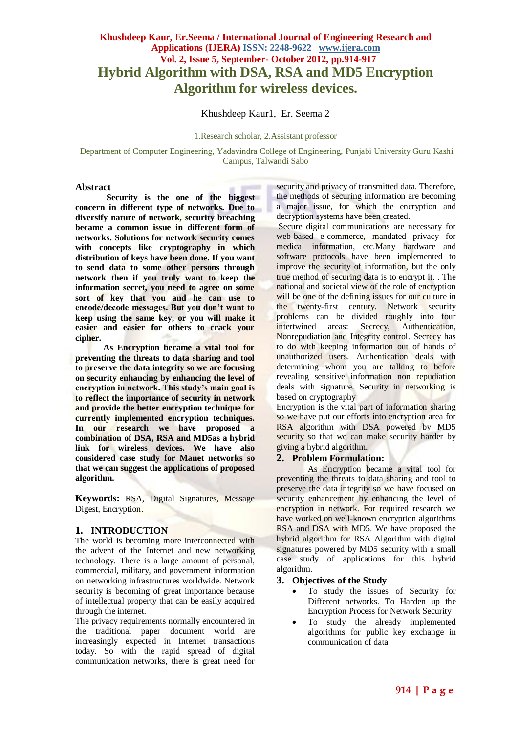## **Khushdeep Kaur, Er.Seema / International Journal of Engineering Research and Applications (IJERA) ISSN: 2248-9622 www.ijera.com Vol. 2, Issue 5, September- October 2012, pp.914-917 Hybrid Algorithm with DSA, RSA and MD5 Encryption Algorithm for wireless devices.**

Khushdeep Kaur1, Er. Seema 2

#### 1.Research scholar, 2.Assistant professor

Department of Computer Engineering, Yadavindra College of Engineering, Punjabi University Guru Kashi Campus, Talwandi Sabo

#### **Abstract**

**Security is the one of the biggest concern in different type of networks. Due to diversify nature of network, security breaching became a common issue in different form of networks. Solutions for network security comes with concepts like cryptography in which distribution of keys have been done. If you want to send data to some other persons through network then if you truly want to keep the information secret, you need to agree on some sort of key that you and he can use to encode/decode messages. But you don't want to keep using the same key, or you will make it easier and easier for others to crack your cipher.**

 **As Encryption became a vital tool for preventing the threats to data sharing and tool to preserve the data integrity so we are focusing on security enhancing by enhancing the level of encryption in network. This study's main goal is to reflect the importance of security in network and provide the better encryption technique for currently implemented encryption techniques. In our research we have proposed a combination of DSA, RSA and MD5as a hybrid link for wireless devices. We have also considered case study for Manet networks so that we can suggest the applications of proposed algorithm.** 

**Keywords:** RSA, Digital Signatures, Message Digest, Encryption.

#### **1. INTRODUCTION**

The world is becoming more interconnected with the advent of the Internet and new networking technology. There is a large amount of personal, commercial, military, and government information on networking infrastructures worldwide. Network security is becoming of great importance because of intellectual property that can be easily acquired through the internet.

The privacy requirements normally encountered in the traditional paper document world are increasingly expected in Internet transactions today. So with the rapid spread of digital communication networks, there is great need for

security and privacy of transmitted data. Therefore, the methods of securing information are becoming a major issue, for which the encryption and decryption systems have been created.

Secure digital communications are necessary for web-based e-commerce, mandated privacy for medical information, etc.Many hardware and software protocols have been implemented to improve the security of information, but the only true method of securing data is to encrypt it. . The national and societal view of the role of encryption will be one of the defining issues for our culture in the twenty-first century. Network security problems can be divided roughly into four intertwined areas: Secrecy, Authentication, Nonrepudiation and Integrity control. Secrecy has to do with keeping information out of hands of unauthorized users. Authentication deals with determining whom you are talking to before revealing sensitive information non repudiation deals with signature. Security in networking is based on cryptography

Encryption is the vital part of information sharing so we have put our efforts into encryption area for RSA algorithm with DSA powered by MD5 security so that we can make security harder by giving a hybrid algorithm.

#### **2. Problem Formulation:**

As Encryption became a vital tool for preventing the threats to data sharing and tool to preserve the data integrity so we have focused on security enhancement by enhancing the level of encryption in network. For required research we have worked on well-known encryption algorithms RSA and DSA with MD5. We have proposed the hybrid algorithm for RSA Algorithm with digital signatures powered by MD5 security with a small case study of applications for this hybrid algorithm.

#### **3. Objectives of the Study**

- To study the issues of Security for Different networks. To Harden up the Encryption Process for Network Security
- To study the already implemented algorithms for public key exchange in communication of data.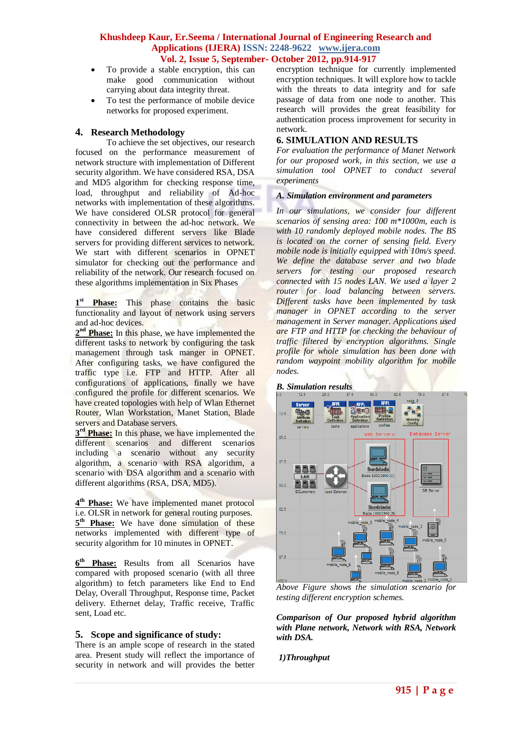#### **Khushdeep Kaur, Er.Seema / International Journal of Engineering Research and Applications (IJERA) ISSN: 2248-9622 www.ijera.com Vol. 2, Issue 5, September- October 2012, pp.914-917**

- To provide a stable encryption, this can make good communication without carrying about data integrity threat.
- To test the performance of mobile device networks for proposed experiment.

#### **4. Research Methodology**

To achieve the set objectives, our research focused on the performance measurement of network structure with implementation of Different security algorithm. We have considered RSA, DSA and MD5 algorithm for checking response time, load, throughput and reliability of Ad-hoc networks with implementation of these algorithms. We have considered OLSR protocol for general connectivity in between the ad-hoc network. We have considered different servers like Blade servers for providing different services to network. We start with different scenarios in OPNET simulator for checking out the performance and reliability of the network. Our research focused on these algorithms implementation in Six Phases

1<sup>st</sup> **Phase:** This phase contains the basic functionality and layout of network using servers and ad-hoc devices.

2<sup>nd</sup> Phase: In this phase, we have implemented the different tasks to network by configuring the task management through task manger in OPNET. After configuring tasks, we have configured the traffic type i.e. FTP and HTTP. After all configurations of applications, finally we have configured the profile for different scenarios. We have created topologies with help of Wlan Ethernet Router, Wlan Workstation, Manet Station, Blade servers and Database servers.

**3<sup>rd</sup> Phase:** In this phase, we have implemented the different scenarios and different scenarios including a scenario without any security algorithm, a scenario with RSA algorithm, a scenario with DSA algorithm and a scenario with different algorithms (RSA, DSA, MD5).

**4 th Phase:** We have implemented manet protocol i.e. OLSR in network for general routing purposes. 5<sup>th</sup> Phase: We have done simulation of these networks implemented with different type of security algorithm for 10 minutes in OPNET.

**6 th Phase:** Results from all Scenarios have compared with proposed scenario (with all three algorithm) to fetch parameters like End to End Delay, Overall Throughput, Response time, Packet delivery. Ethernet delay, Traffic receive, Traffic sent, Load etc.

#### **5. Scope and significance of study:**

There is an ample scope of research in the stated area. Present study will reflect the importance of security in network and will provides the better encryption technique for currently implemented encryption techniques. It will explore how to tackle with the threats to data integrity and for safe passage of data from one node to another. This research will provides the great feasibility for authentication process improvement for security in network.

### **6. SIMULATION AND RESULTS**

*For evaluation the performance of Manet Network for our proposed work, in this section, we use a simulation tool OPNET to conduct several experiments*

#### *A. Simulation environment and parameters*

*In our simulations, we consider four different scenarios of sensing area: 100 m\*1000m, each is with 10 randomly deployed mobile nodes. The BS is located on the corner of sensing field. Every mobile node is initially equipped with 10m/s speed. We define the database server and two blade servers for testing our proposed research connected with 15 nodes LAN. We used a layer 2 router for load balancing between servers. Different tasks have been implemented by task manager in OPNET according to the server management in Server manager. Applications used are FTP and HTTP for checking the behaviour of traffic filtered by encryption algorithms. Single profile for whole simulation has been done with random waypoint mobility algorithm for mobile nodes.*



*Above Figure shows the simulation scenario for testing different encryption schemes.*

*Comparison of Our proposed hybrid algorithm with Plane network, Network with RSA, Network with DSA.*

#### *1)Throughput*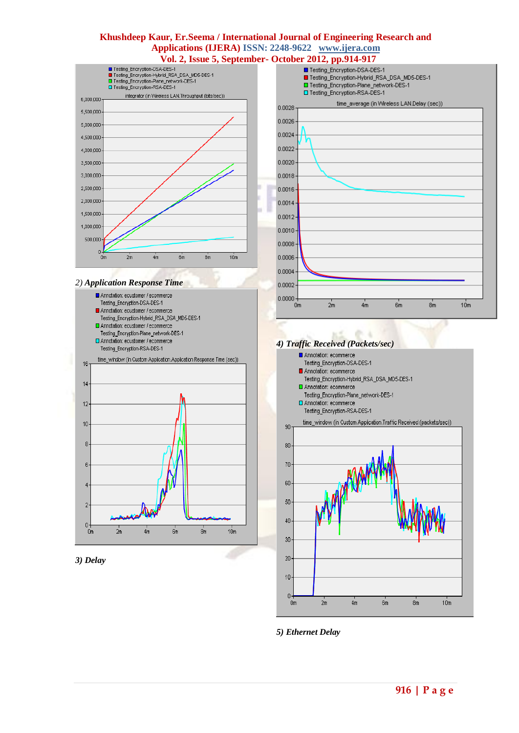# **Khushdeep Kaur, Er.Seema / International Journal of Engineering Research and Applications (IJERA) ISSN: 2248-9622 www.ijera.com Vol. 2, Issue 5, September- October 2012, pp.914-917**<br> **Example Encryption-DSA-DES-1**



#### *2) Application Response Time*







#### *4) Traffic Received (Packets/sec)*



*5) Ethernet Delay*